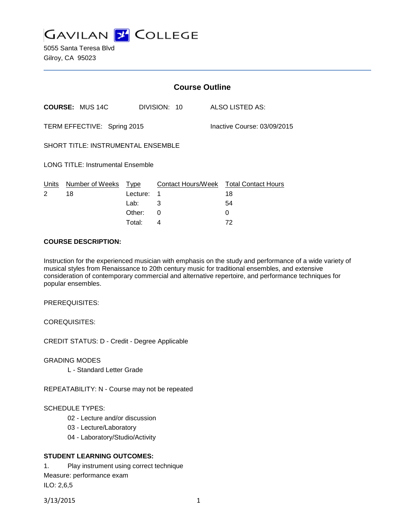

5055 Santa Teresa Blvd Gilroy, CA 95023

|                                                            | <b>Course Outline</b>      |                            |                    |              |  |                                                         |
|------------------------------------------------------------|----------------------------|----------------------------|--------------------|--------------|--|---------------------------------------------------------|
|                                                            | <b>COURSE: MUS 14C</b>     |                            |                    | DIVISION: 10 |  | ALSO LISTED AS:                                         |
| TERM EFFECTIVE: Spring 2015<br>Inactive Course: 03/09/2015 |                            |                            |                    |              |  |                                                         |
| <b>SHORT TITLE: INSTRUMENTAL ENSEMBLE</b>                  |                            |                            |                    |              |  |                                                         |
| <b>LONG TITLE: Instrumental Ensemble</b>                   |                            |                            |                    |              |  |                                                         |
| Units<br>2                                                 | Number of Weeks Type<br>18 | Lecture:<br>Lab:<br>Other: | 1<br>3<br>$\Omega$ |              |  | Contact Hours/Week Total Contact Hours<br>18<br>54<br>0 |
|                                                            |                            | Total:                     | 4                  |              |  | 72                                                      |

#### **COURSE DESCRIPTION:**

Instruction for the experienced musician with emphasis on the study and performance of a wide variety of musical styles from Renaissance to 20th century music for traditional ensembles, and extensive consideration of contemporary commercial and alternative repertoire, and performance techniques for popular ensembles.

PREREQUISITES:

COREQUISITES:

CREDIT STATUS: D - Credit - Degree Applicable

GRADING MODES

L - Standard Letter Grade

REPEATABILITY: N - Course may not be repeated

#### SCHEDULE TYPES:

- 02 Lecture and/or discussion
- 03 Lecture/Laboratory
- 04 Laboratory/Studio/Activity

## **STUDENT LEARNING OUTCOMES:**

1. Play instrument using correct technique Measure: performance exam ILO: 2,6,5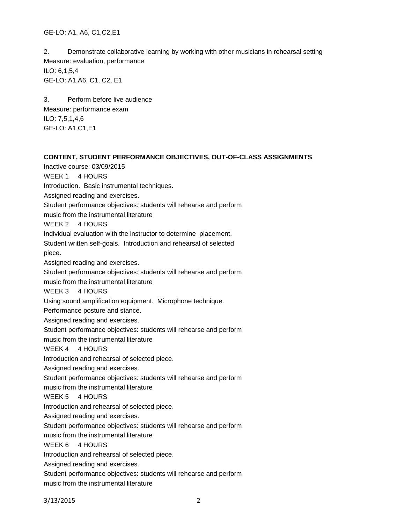GE-LO: A1, A6, C1,C2,E1

2. Demonstrate collaborative learning by working with other musicians in rehearsal setting Measure: evaluation, performance ILO: 6,1,5,4 GE-LO: A1,A6, C1, C2, E1

3. Perform before live audience Measure: performance exam ILO: 7,5,1,4,6 GE-LO: A1,C1,E1

## **CONTENT, STUDENT PERFORMANCE OBJECTIVES, OUT-OF-CLASS ASSIGNMENTS**

Inactive course: 03/09/2015

WEEK 1 4 HOURS

Introduction. Basic instrumental techniques.

Assigned reading and exercises.

Student performance objectives: students will rehearse and perform

music from the instrumental literature

WEEK 2 4 HOURS

Individual evaluation with the instructor to determine placement.

Student written self-goals. Introduction and rehearsal of selected piece.

Assigned reading and exercises.

Student performance objectives: students will rehearse and perform

music from the instrumental literature

WEEK 3 4 HOURS

Using sound amplification equipment. Microphone technique.

Performance posture and stance.

Assigned reading and exercises.

Student performance objectives: students will rehearse and perform

music from the instrumental literature

WEEK 4 4 HOURS

Introduction and rehearsal of selected piece.

Assigned reading and exercises.

Student performance objectives: students will rehearse and perform

music from the instrumental literature

WEEK 5 4 HOURS

Introduction and rehearsal of selected piece.

Assigned reading and exercises.

Student performance objectives: students will rehearse and perform

music from the instrumental literature

WEEK 6 4 HOURS

Introduction and rehearsal of selected piece.

Assigned reading and exercises.

Student performance objectives: students will rehearse and perform

music from the instrumental literature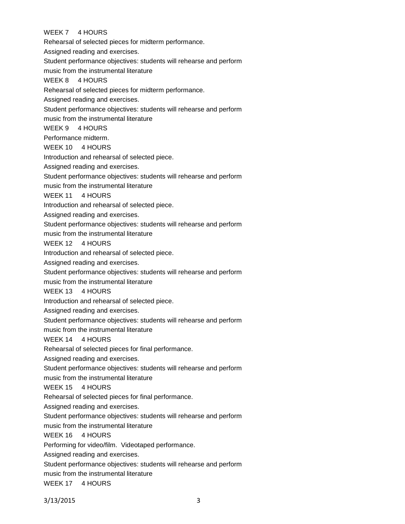# WEEK 7 4 HOURS

Rehearsal of selected pieces for midterm performance.

Assigned reading and exercises.

Student performance objectives: students will rehearse and perform

music from the instrumental literature

## WEEK 8 4 HOURS

Rehearsal of selected pieces for midterm performance.

Assigned reading and exercises.

Student performance objectives: students will rehearse and perform

music from the instrumental literature

WEEK 9 4 HOURS

Performance midterm.

WEEK 10 4 HOURS

Introduction and rehearsal of selected piece.

Assigned reading and exercises.

Student performance objectives: students will rehearse and perform

music from the instrumental literature

WEEK 11 4 HOURS

Introduction and rehearsal of selected piece.

Assigned reading and exercises.

Student performance objectives: students will rehearse and perform

music from the instrumental literature

WEEK 12 4 HOURS

Introduction and rehearsal of selected piece.

Assigned reading and exercises.

Student performance objectives: students will rehearse and perform

music from the instrumental literature

WEEK 13 4 HOURS

Introduction and rehearsal of selected piece.

Assigned reading and exercises.

Student performance objectives: students will rehearse and perform

music from the instrumental literature

## WEEK 14 4 HOURS

Rehearsal of selected pieces for final performance.

Assigned reading and exercises.

Student performance objectives: students will rehearse and perform

music from the instrumental literature

WEEK 15 4 HOURS

Rehearsal of selected pieces for final performance.

Assigned reading and exercises.

Student performance objectives: students will rehearse and perform

music from the instrumental literature

WEEK 16 4 HOURS

Performing for video/film. Videotaped performance.

Assigned reading and exercises.

Student performance objectives: students will rehearse and perform

music from the instrumental literature

WEEK 17 4 HOURS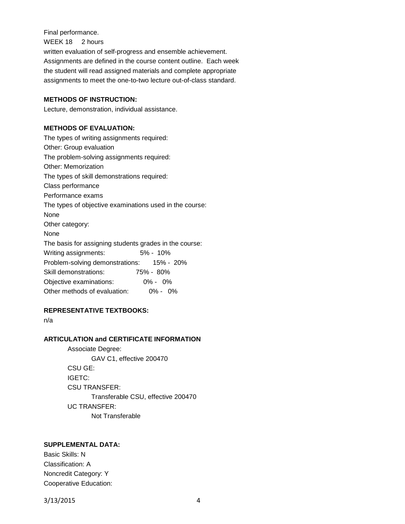Final performance.

WEEK 18 2 hours

written evaluation of self-progress and ensemble achievement. Assignments are defined in the course content outline. Each week the student will read assigned materials and complete appropriate assignments to meet the one-to-two lecture out-of-class standard.

#### **METHODS OF INSTRUCTION:**

Lecture, demonstration, individual assistance.

# **METHODS OF EVALUATION:**

The types of writing assignments required: Other: Group evaluation The problem-solving assignments required: Other: Memorization The types of skill demonstrations required: Class performance Performance exams The types of objective examinations used in the course: None Other category: None The basis for assigning students grades in the course: Writing assignments: 5% - 10% Problem-solving demonstrations: 15% - 20% Skill demonstrations: 75% - 80% Objective examinations: 0% - 0% Other methods of evaluation: 0% - 0%

## **REPRESENTATIVE TEXTBOOKS:**

n/a

## **ARTICULATION and CERTIFICATE INFORMATION**

Associate Degree: GAV C1, effective 200470 CSU GE: IGETC: CSU TRANSFER: Transferable CSU, effective 200470 UC TRANSFER: Not Transferable

# **SUPPLEMENTAL DATA:**

Basic Skills: N Classification: A Noncredit Category: Y Cooperative Education: